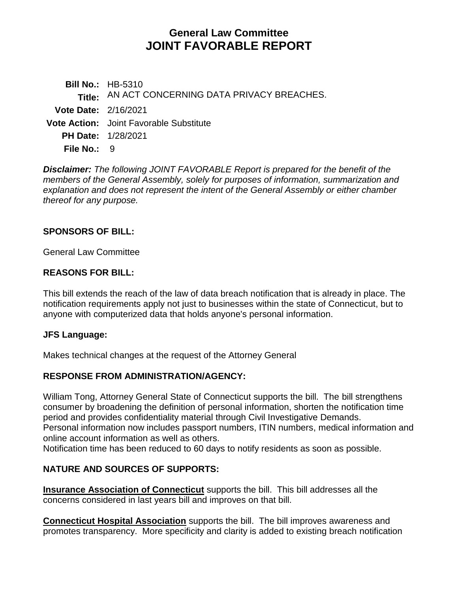# **General Law Committee JOINT FAVORABLE REPORT**

**Bill No.:** HB-5310 **Title:** AN ACT CONCERNING DATA PRIVACY BREACHES. **Vote Date:** 2/16/2021 **Vote Action:** Joint Favorable Substitute **PH Date:** 1/28/2021 **File No.: 9** 

*Disclaimer: The following JOINT FAVORABLE Report is prepared for the benefit of the members of the General Assembly, solely for purposes of information, summarization and explanation and does not represent the intent of the General Assembly or either chamber thereof for any purpose.*

#### **SPONSORS OF BILL:**

General Law Committee

#### **REASONS FOR BILL:**

This bill extends the reach of the law of data breach notification that is already in place. The notification requirements apply not just to businesses within the state of Connecticut, but to anyone with computerized data that holds anyone's personal information.

#### **JFS Language:**

Makes technical changes at the request of the Attorney General

#### **RESPONSE FROM ADMINISTRATION/AGENCY:**

William Tong, Attorney General State of Connecticut supports the bill. The bill strengthens consumer by broadening the definition of personal information, shorten the notification time period and provides confidentiality material through Civil Investigative Demands. Personal information now includes passport numbers, ITIN numbers, medical information and online account information as well as others.

Notification time has been reduced to 60 days to notify residents as soon as possible.

## **NATURE AND SOURCES OF SUPPORTS:**

**Insurance Association of Connecticut** supports the bill. This bill addresses all the concerns considered in last years bill and improves on that bill.

**Connecticut Hospital Association** supports the bill. The bill improves awareness and promotes transparency. More specificity and clarity is added to existing breach notification